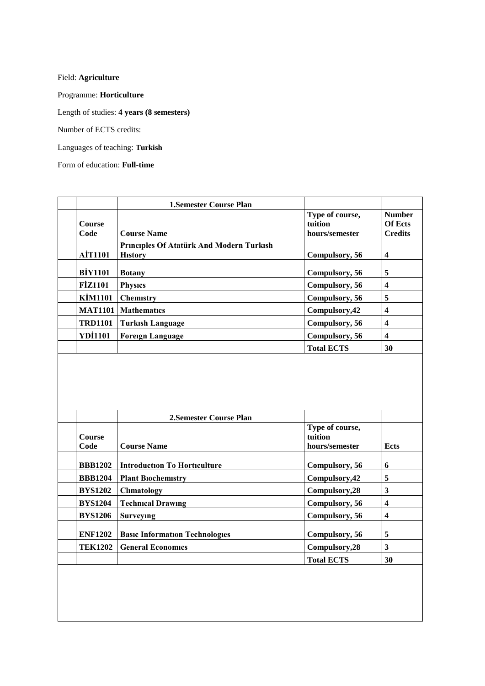Field: **Agriculture**

Programme: **Horticulture**

Length of studies: **4 years (8 semesters)**

Number of ECTS credits:

Languages of teaching: **[Turkish](http://tureng.com/search/turkish)**

Form of education: **Full-time**

|                | <b>1. Semester Course Plan</b>           |                   |                  |
|----------------|------------------------------------------|-------------------|------------------|
|                |                                          | Type of course,   | <b>Number</b>    |
| <b>Course</b>  |                                          | tuition           | <b>Of Ects</b>   |
| Code           | <b>Course Name</b>                       | hours/semester    | <b>Credits</b>   |
|                | Principles Of Atatürk And Modern Turkish |                   |                  |
| <b>AIT1101</b> | <b>History</b>                           | Compulsory, 56    | 4                |
|                |                                          |                   |                  |
| <b>BİY1101</b> | <b>Botany</b>                            | Compulsory, 56    | 5                |
| <b>FİZ1101</b> | <b>Physics</b>                           | Compulsory, 56    | $\boldsymbol{4}$ |
| <b>KİM1101</b> | <b>Chemistry</b>                         | Compulsory, 56    | 5                |
| <b>MAT1101</b> | <b>Mathematics</b>                       | Compulsory, 42    | 4                |
| <b>TRD1101</b> | <b>Turkish Language</b>                  | Compulsory, 56    | 4                |
| <b>YDI1101</b> | <b>Foreign Language</b>                  | Compulsory, 56    | 4                |
|                |                                          | <b>Total ECTS</b> | 30               |

|                | 2. Semester Course Plan               |                   |      |
|----------------|---------------------------------------|-------------------|------|
|                |                                       | Type of course,   |      |
| <b>Course</b>  |                                       | tuition           |      |
| Code           | <b>Course Name</b>                    | hours/semester    | Ects |
|                |                                       |                   |      |
| <b>BBB1202</b> | <b>Introduction To Horticulture</b>   | Compulsory, 56    | 6    |
| <b>BBB1204</b> | <b>Plant Biochemistry</b>             | Compulsory, 42    | 5    |
| <b>BYS1202</b> | <b>Climatology</b>                    | Compulsory, 28    | 3    |
| <b>BYS1204</b> | <b>Technical Drawing</b>              | Compulsory, 56    | 4    |
| <b>BYS1206</b> | Surveying                             | Compulsory, 56    | 4    |
|                |                                       |                   |      |
| <b>ENF1202</b> | <b>Basic Information Technologies</b> | Compulsory, 56    | 5    |
| <b>TEK1202</b> | <b>General Economics</b>              | Compulsory, 28    | 3    |
|                |                                       | <b>Total ECTS</b> | 30   |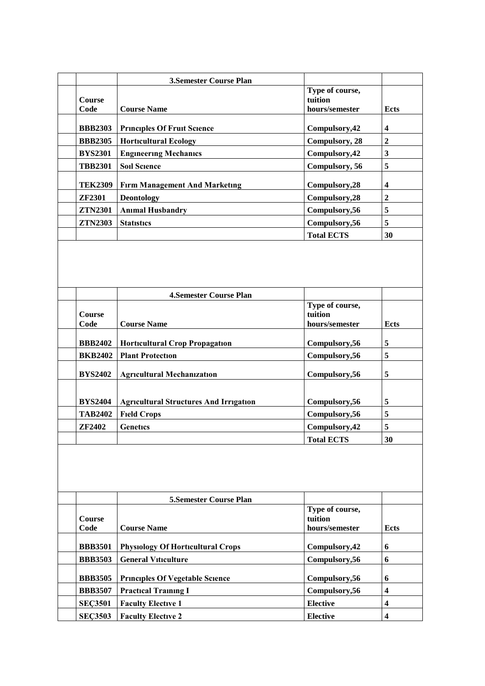|                       | <b>3.Semester Course Plan</b>        |                                              |                         |
|-----------------------|--------------------------------------|----------------------------------------------|-------------------------|
| <b>Course</b><br>Code | <b>Course Name</b>                   | Type of course,<br>tuition<br>hours/semester | <b>Ects</b>             |
|                       |                                      |                                              |                         |
| <b>BBB2303</b>        | <b>Principles Of Fruit Science</b>   | Compulsory, 42                               | $\overline{\mathbf{4}}$ |
| <b>BBB2305</b>        | <b>Horticultural Ecology</b>         | Compulsory, 28                               | $\boldsymbol{2}$        |
| <b>BYS2301</b>        | <b>Engineering Mechanics</b>         | Compulsory, 42                               | 3                       |
| <b>TBB2301</b>        | <b>Soil Science</b>                  | Compulsory, 56                               | 5                       |
| <b>TEK2309</b>        | <b>Firm Management And Marketing</b> | Compulsory, 28                               | $\overline{\mathbf{4}}$ |
| <b>ZF2301</b>         | <b>Deontology</b>                    | Compulsory, 28                               | $\boldsymbol{2}$        |
| <b>ZTN2301</b>        | <b>Animal Husbandry</b>              | Compulsory, 56                               | 5                       |
| <b>ZTN2303</b>        | <b>Statistics</b>                    | Compulsory, 56                               | 5                       |
|                       |                                      | <b>Total ECTS</b>                            | 30                      |

|                | <b>4.Semester Course Plan</b>                 |                            |             |
|----------------|-----------------------------------------------|----------------------------|-------------|
| <b>Course</b>  |                                               | Type of course,<br>tuition |             |
| Code           | <b>Course Name</b>                            | hours/semester             | <b>Ects</b> |
| <b>BBB2402</b> | <b>Horticultural Crop Propagation</b>         | Compulsory, 56             | 5           |
| <b>BKB2402</b> | <b>Plant Protection</b>                       | Compulsory, 56             | 5           |
| <b>BYS2402</b> | <b>Agricultural Mechanization</b>             | Compulsory, 56             | 5           |
| <b>BYS2404</b> | <b>Agricultural Structures And Irrigation</b> | Compulsory, 56             | 5           |
| <b>TAB2402</b> | <b>Field Crops</b>                            | Compulsory, 56             | 5           |
| <b>ZF2402</b>  | Genetics                                      | Compulsory, 42             | 5           |
|                |                                               | <b>Total ECTS</b>          | 30          |

|                       | <b>5. Semester Course Plan</b>           |                                              |      |
|-----------------------|------------------------------------------|----------------------------------------------|------|
| <b>Course</b><br>Code | <b>Course Name</b>                       | Type of course,<br>tuition<br>hours/semester | Ects |
| <b>BBB3501</b>        | <b>Physiology Of Horticultural Crops</b> | Compulsory, 42                               | 6    |
| <b>BBB3503</b>        | <b>General Viticulture</b>               | Compulsory, 56                               | 6    |
| <b>BBB3505</b>        | <b>Principles Of Vegetable Science</b>   | Compulsory, 56                               | 6    |
| <b>BBB3507</b>        | <b>Practical Training I</b>              | Compulsory, 56                               | 4    |
| <b>SEC3501</b>        | <b>Faculty Elective 1</b>                | <b>Elective</b>                              | 4    |
| <b>SEC3503</b>        | <b>Faculty Elective 2</b>                | <b>Elective</b>                              | 4    |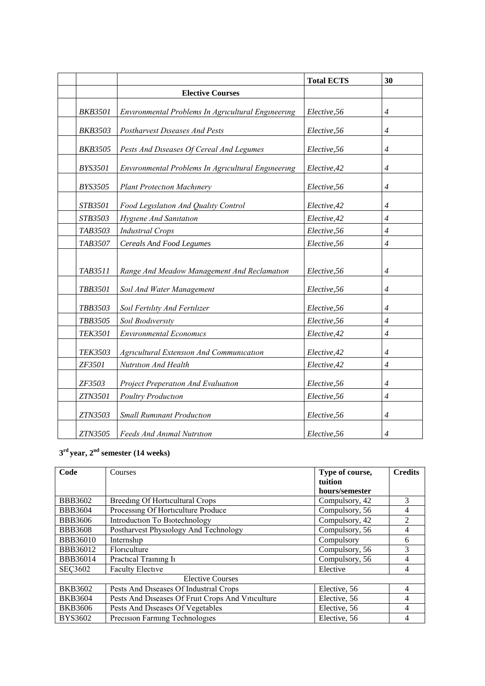|                |                                                    | <b>Total ECTS</b> | 30             |
|----------------|----------------------------------------------------|-------------------|----------------|
|                | <b>Elective Courses</b>                            |                   |                |
| <b>BKB3501</b> | Environmental Problems In Agricultural Engineering | Elective, 56      | 4              |
| <b>BKB3503</b> | Postharvest Diseases And Pests                     | Elective, 56      | $\overline{4}$ |
| <b>BKB3505</b> | Pests And Diseases Of Cereal And Legumes           | Elective, 56      | $\overline{4}$ |
| <b>BYS3501</b> | Environmental Problems In Agricultural Engineering | Elective, 42      | 4              |
| <b>BYS3505</b> | <b>Plant Protection Machinery</b>                  | Elective, 56      | $\overline{4}$ |
| STB3501        | Food Legislation And Quality Control               | Elective, 42      | 4              |
| <b>STB3503</b> | <b>Hygiene And Sanitation</b>                      | Elective, 42      | $\overline{4}$ |
| TAB3503        | <b>Industrial Crops</b>                            | Elective, 56      | $\overline{4}$ |
| TAB3507        | <b>Cereals And Food Legumes</b>                    | Elective, 56      | $\overline{4}$ |
| TAB3511        | Range And Meadow Management And Reclamation        | Elective, 56      | $\overline{4}$ |
| <b>TBB3501</b> | Soil And Water Management                          | Elective, 56      | $\overline{4}$ |
| TBB3503        | Soil Fertility And Fertilizer                      | Elective, 56      | $\overline{4}$ |
| <b>TBB3505</b> | Soil Biodiversity                                  | Elective, 56      | $\overline{4}$ |
| <b>TEK3501</b> | <b>Environmental Economics</b>                     | Elective, 42      | $\overline{4}$ |
| <b>TEK3503</b> | Agricultural Extension And Communication           | Elective, 42      | 4              |
| ZF3501         | Nutrition And Health                               | Elective, 42      | $\overline{4}$ |
| ZF3503         | Project Preperation And Evaluation                 | Elective, 56      | 4              |
| ZTN3501        | <b>Poultry Production</b>                          | Elective, 56      | $\overline{4}$ |
| ZTN3503        | <b>Small Ruminant Production</b>                   | Elective, 56      | $\overline{4}$ |
| ZTN3505        | <b>Feeds And Animal Nutrition</b>                  | Elective, 56      | $\overline{4}$ |

## **3 rd year, 2nd semester (14 weeks)**

| Code            | Courses                                           | Type of course,<br>tuition | <b>Credits</b> |
|-----------------|---------------------------------------------------|----------------------------|----------------|
|                 |                                                   | hours/semester             |                |
| <b>BBB3602</b>  | <b>Breeding Of Horticultural Crops</b>            | Compulsory, 42             | 3              |
| <b>BBB3604</b>  | Processing Of Horticulture Produce                | Compulsory, 56             | 4              |
| <b>BBB3606</b>  | Introduction To Biotechnology                     | Compulsory, 42             | 2              |
| <b>BBB3608</b>  | Postharvest Physiology And Technology             | Compulsory, 56             | 4              |
| <b>BBB36010</b> | Internship                                        | Compulsory                 | 6              |
| <b>BBB36012</b> | Floriculture                                      | Compulsory, 56             | 3              |
| <b>BBB36014</b> | Practical Training Ii                             | Compulsory, 56             | 4              |
| <b>SEC3602</b>  | <b>Faculty Elective</b>                           | Elective                   |                |
|                 | <b>Elective Courses</b>                           |                            |                |
| <b>BKB3602</b>  | Pests And Diseases Of Industrial Crops            | Elective, 56               | 4              |
| <b>BKB3604</b>  | Pests And Diseases Of Fruit Crops And Viticulture | Elective, 56               | 4              |
| <b>BKB3606</b>  | Pests And Diseases Of Vegetables                  | Elective, 56               | 4              |
| <b>BYS3602</b>  | Precision Farming Technologies                    | Elective, 56               |                |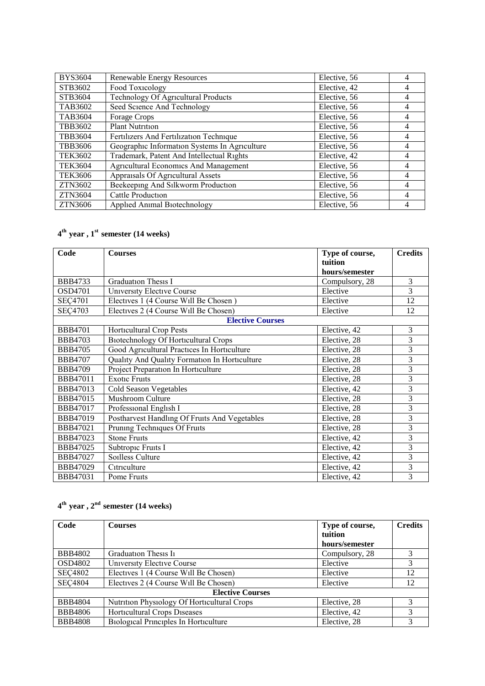| <b>BYS3604</b> | Renewable Energy Resources                    | Elective, 56 | 4              |
|----------------|-----------------------------------------------|--------------|----------------|
| STB3602        | Food Toxicology                               | Elective, 42 | 4              |
| STB3604        | Technology Of Agricultural Products           | Elective, 56 | 4              |
| TAB3602        | Seed Science And Technology                   | Elective, 56 | 4              |
| <b>TAB3604</b> | Forage Crops                                  | Elective, 56 | 4              |
| <b>TBB3602</b> | <b>Plant Nutrition</b>                        | Elective, 56 | 4              |
| <b>TBB3604</b> | Fertilizers And Fertilization Technique       | Elective, 56 | 4              |
| <b>TBB3606</b> | Geographic Information Systems In Agriculture | Elective, 56 | 4              |
| <b>TEK3602</b> | Trademark, Patent And Intellectual Rights     | Elective, 42 | 4              |
| <b>TEK3604</b> | <b>Agricultural Economics And Management</b>  | Elective, 56 | 4              |
| TEK3606        | Appraisals Of Agricultural Assets             | Elective, 56 | 4              |
| ZTN3602        | Beekeeping And Silkworm Production            | Elective, 56 | $\overline{4}$ |
| ZTN3604        | Cattle Production                             | Elective, 56 | 4              |
| ZTN3606        | Applied Animal Biotechnology                  | Elective, 56 |                |

## **4 th year , 1st semester (14 weeks)**

| Code            | <b>Courses</b>                                | Type of course, | <b>Credits</b> |
|-----------------|-----------------------------------------------|-----------------|----------------|
|                 |                                               | tuition         |                |
|                 |                                               | hours/semester  |                |
| <b>BBB4733</b>  | <b>Graduation Thesis I</b>                    | Compulsory, 28  | 3              |
| <b>OSD4701</b>  | <b>University Elective Course</b>             | Elective        | $\overline{3}$ |
| <b>SEC4701</b>  | Electives 1 (4 Course Will Be Chosen)         | Elective        | 12             |
| <b>SEC4703</b>  | Electives 2 (4 Course Will Be Chosen)         | Elective        | 12             |
|                 | <b>Elective Courses</b>                       |                 |                |
| <b>BBB4701</b>  | <b>Horticultural Crop Pests</b>               | Elective, 42    | 3              |
| <b>BBB4703</b>  | <b>Biotechnology Of Horticultural Crops</b>   | Elective, 28    | 3              |
| <b>BBB4705</b>  | Good Agricultural Practices In Horticulture   | Elective, 28    | 3              |
| <b>BBB4707</b>  | Quality And Quality Formation In Horticulture | Elective, 28    | 3              |
| <b>BBB4709</b>  | Project Preparation In Horticulture           | Elective, 28    | 3              |
| <b>BBB47011</b> | <b>Exotic Fruits</b>                          | Elective, 28    | 3              |
| <b>BBB47013</b> | <b>Cold Season Vegetables</b>                 | Elective, 42    | 3              |
| <b>BBB47015</b> | <b>Mushroom Culture</b>                       | Elective, 28    | 3              |
| <b>BBB47017</b> | Professional English I                        | Elective, 28    | 3              |
| <b>BBB47019</b> | Postharvest Handling Of Fruits And Vegetables | Elective, 28    | 3              |
| BBB47021        | Pruning Techniques Of Fruits                  | Elective, 28    | 3              |
| BBB47023        | <b>Stone Fruits</b>                           | Elective, 42    | 3              |
| BBB47025        | Subtropic Fruits I                            | Elective, 42    | 3              |
| <b>BBB47027</b> | Soilless Culture                              | Elective, 42    | 3              |
| <b>BBB47029</b> | Citriculture                                  | Elective, 42    | 3              |
| <b>BBB47031</b> | Pome Fruits                                   | Elective, 42    | 3              |

## **4 th year , 2nd semester (14 weeks)**

| Code           | <b>Courses</b>                               | Type of course, | <b>Credits</b> |
|----------------|----------------------------------------------|-----------------|----------------|
|                |                                              | tuition         |                |
|                |                                              | hours/semester  |                |
| <b>BBB4802</b> | Graduation Thesis I <sub>1</sub>             | Compulsory, 28  |                |
| OSD4802        | <b>University Elective Course</b>            | Elective        | 3              |
| <b>SEC4802</b> | Electives 1 (4 Course Will Be Chosen)        | Elective        | 12             |
| <b>SEC4804</b> | Electives 2 (4 Course Will Be Chosen)        | Elective        | 12             |
|                | <b>Elective Courses</b>                      |                 |                |
| <b>BBB4804</b> | Nutrition Physiology Of Horticultural Crops  | Elective, 28    |                |
| <b>BBB4806</b> | <b>Horticultural Crops Diseases</b>          | Elective, 42    | 3              |
| <b>BBB4808</b> | <b>Biological Principles In Horticulture</b> | Elective, 28    | 3              |